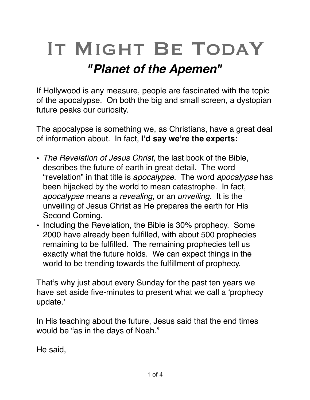## IT MIGHT BE TODAY *"Planet of the Apemen"*

If Hollywood is any measure, people are fascinated with the topic of the apocalypse. On both the big and small screen, a dystopian future peaks our curiosity.

The apocalypse is something we, as Christians, have a great deal of information about. In fact, **I'd say we're the experts:**

- *The Revelation of Jesus Christ*, the last book of the Bible, describes the future of earth in great detail. The word "revelation" in that title is *apocalypse*. The word *apocalypse* has been hijacked by the world to mean catastrophe. In fact, *apocalypse* means a *revealing*, or an *unveiling*. It is the unveiling of Jesus Christ as He prepares the earth for His Second Coming.
- Including the Revelation, the Bible is 30% prophecy. Some 2000 have already been fulfilled, with about 500 prophecies remaining to be fulfilled. The remaining prophecies tell us exactly what the future holds. We can expect things in the world to be trending towards the fulfillment of prophecy.

That's why just about every Sunday for the past ten years we have set aside five-minutes to present what we call a 'prophecy update.'

In His teaching about the future, Jesus said that the end times would be "as in the days of Noah."

He said,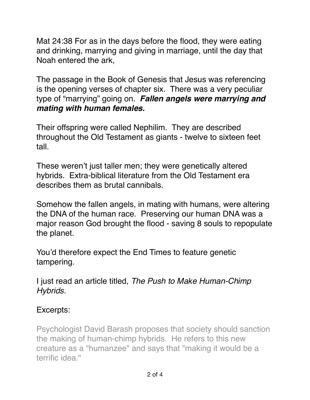Mat 24:38 For as in the days before the flood, they were eating and drinking, marrying and giving in marriage, until the day that Noah entered the ark,

The passage in the Book of Genesis that Jesus was referencing is the opening verses of chapter six. There was a very peculiar type of "marrying" going on. *Fallen angels were marrying and mating with human females.* 

Their offspring were called Nephilim. They are described throughout the Old Testament as giants - twelve to sixteen feet tall.

These weren't just taller men; they were genetically altered hybrids. Extra-biblical literature from the Old Testament era describes them as brutal cannibals.

Somehow the fallen angels, in mating with humans, were altering the DNA of the human race. Preserving our human DNA was a major reason God brought the flood - saving 8 souls to repopulate the planet.

You'd therefore expect the End Times to feature genetic tampering.

I just read an article titled, *The Push to Make Human-Chimp Hybrids.*

## Excerpts:

Psychologist David Barash proposes that society should sanction the making of human-chimp hybrids. He refers to this new creature as a "humanzee" and says that "making it would be a terrific idea."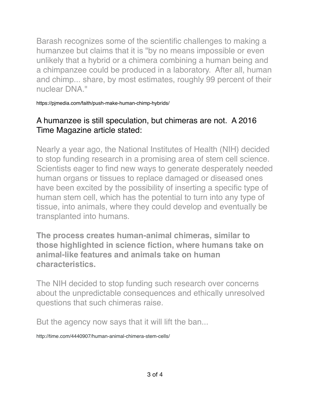Barash recognizes some of the scientific challenges to making a humanzee but claims that it is "by no means impossible or even unlikely that a hybrid or a chimera combining a human being and a chimpanzee could be produced in a laboratory. After all, human and chimp... share, by most estimates, roughly 99 percent of their nuclear DNA."

https://pjmedia.com/faith/push-make-human-chimp-hybrids/

## A humanzee is still speculation, but chimeras are not. A 2016 Time Magazine article stated:

Nearly a year ago, the National Institutes of Health (NIH) decided to stop funding research in a promising area of stem cell science. Scientists eager to find new ways to generate desperately needed human organs or tissues to replace damaged or diseased ones have been excited by the possibility of inserting a specific type of human stem cell, which has the potential to turn into any type of tissue, into animals, where they could develop and eventually be transplanted into humans.

**The process creates human-animal chimeras, similar to those highlighted in science fiction, where humans take on animal-like features and animals take on human characteristics.** 

The NIH decided to stop funding such research over concerns about the unpredictable consequences and ethically unresolved questions that such chimeras raise.

But the agency now says that it will lift the ban...

http://time.com/4440907/human-animal-chimera-stem-cells/